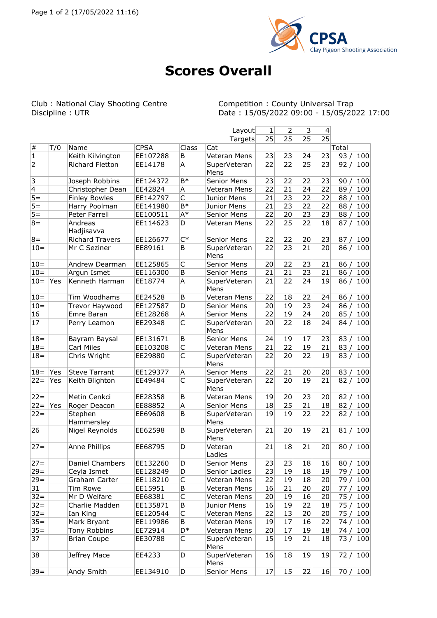

## **Scores Overall**

Club : National Clay Shooting Centre<br>Discipline : UTR

Competition : County Universal Trap<br>Date : 15/05/2022 09:00 - 15/05/2022 17:00

|                  |     |                        |             |             | Layout               | $\mathbf{1}$ | $\overline{2}$  | 3               | 4               |             |
|------------------|-----|------------------------|-------------|-------------|----------------------|--------------|-----------------|-----------------|-----------------|-------------|
|                  |     |                        |             |             | Targets              | 25           | $\overline{25}$ | $\overline{25}$ | $\overline{25}$ |             |
| $\#$             | T/0 | Name                   | <b>CPSA</b> | Class       | Cat                  |              |                 |                 |                 | Total       |
| 1                |     | Keith Kilvington       | EE107288    | B           | Veteran Mens         | 23           | 23              | 24              | 23              | 93/<br>100  |
| 2                |     | Richard Fletton        | EE14178     | A           | SuperVeteran<br>Mens | 22           | 22              | 25              | 23              | 92/<br>100  |
| 3                |     | Joseph Robbins         | EE124372    | B*          | Senior Mens          | 23           | 22              | 22              | 23              | 90/<br>100  |
| 4                |     | Christopher Dean       | EE42824     | А           | Veteran Mens         | 22           | 21              | 24              | 22              | 89/<br>100  |
| $5 =$            |     | <b>Finley Bowles</b>   | EE142797    | C           | Junior Mens          | 21           | 23              | 22              | 22              | 88/<br>100  |
| $5 =$            |     | Harry Poolman          | EE141980    | $B*$        | Junior Mens          | 21           | 23              | 22              | 22              | 88 /<br>100 |
| $\overline{5}$ = |     | Peter Farrell          | EE100511    | $A^*$       | Senior Mens          | 22           | 20              | 23              | 23              | 100<br>88/  |
| $8 =$            |     | Andreas<br>Hadjisavva  | EE114623    | D           | Veteran Mens         | 22           | 25              | 22              | 18              | 87 / 100    |
| $8 =$            |     | <b>Richard Travers</b> | EE126677    | $C^*$       | Senior Mens          | 22           | 22              | 20              | 23              | 100<br>87/  |
| $10 =$           |     | Mr C Seziner           | EE89161     | B           | SuperVeteran<br>Mens | 22           | 23              | 21              | 20              | 86/<br>100  |
| $10 =$           |     | Andrew Dearman         | EE125865    | C           | Senior Mens          | 20           | 22              | 23              | 21              | 100<br>86/  |
| $10 =$           |     | Argun Ismet            | EE116300    | B           | Senior Mens          | 21           | 21              | 23              | 21              | 86/<br>100  |
| $10 =$           | Yes | Kenneth Harman         | EE18774     | A           | SuperVeteran<br>Mens | 21           | 22              | 24              | 19              | 86/<br>100  |
| $10 =$           |     | Tim Woodhams           | EE24528     | B           | Veteran Mens         | 22           | 18              | 22              | 24              | 86/<br>100  |
| $10 =$           |     | Trevor Haywood         | EE127587    | D           | Senior Mens          | 20           | 19              | 23              | 24              | 86/<br>100  |
| 16               |     | Emre Baran             | EE128268    | A           | Senior Mens          | 22           | 19              | 24              | 20              | 100<br>85/  |
| 17               |     | Perry Leamon           | EE29348     | C           | SuperVeteran<br>Mens | 20           | 22              | 18              | 24              | 84 / 100    |
| $18 =$           |     | Bayram Baysal          | EE131671    | B           | Senior Mens          | 24           | 19              | 17              | 23              | 100<br>83/  |
| $18 =$           |     | <b>Carl Miles</b>      | EE103208    | С           | Veteran Mens         | 21           | 22              | 19              | 21              | 83/<br>100  |
| $18 =$           |     | Chris Wright           | EE29880     | $\mathsf C$ | SuperVeteran<br>Mens | 22           | 20              | 22              | 19              | 83/<br>100  |
| $18 =$           | Yes | <b>Steve Tarrant</b>   | EE129377    | A           | Senior Mens          | 22           | 21              | 20              | 20              | 83/<br>100  |
| $22 =$           | Yes | Keith Blighton         | EE49484     | C           | SuperVeteran<br>Mens | 22           | 20              | 19              | 21              | 82/<br>100  |
| $22 =$           |     | Metin Cenkci           | EE28358     | B           | Veteran Mens         | 19           | 20              | 23              | 20              | 82/<br>100  |
| $22 =$           | Yes | Roger Deacon           | EE88852     | A           | Senior Mens          | 18           | 25              | 21              | 18              | 82/<br>100  |
| $22 =$           |     | Stephen<br>Hammersley  | EE69608     | B           | SuperVeteran<br>Mens | 19           | 19              | 22              | 22              | 82 / 100    |
| 26               |     | Nigel Reynolds         | EE62598     | B           | SuperVeteran<br>Mens | 21           | 20              | 19              | 21              | 81 / 100    |
| $27 =$           |     | Anne Phillips          | EE68795     | D           | Veteran<br>Ladies    | 21           | 18              | 21              | 20              | 80/<br>100  |
| $27 =$           |     | Daniel Chambers        | EE132260    | D           | Senior Mens          | 23           | 23              | 18              | 16              | 100<br>80/  |
| $29 =$           |     | Ceyla Ismet            | EE128249    | D           | Senior Ladies        | 23           | 19              | 18              | 19              | 79/<br>100  |
| $29 =$           |     | Graham Carter          | EE118210    | С           | Veteran Mens         | 22           | 19              | 18              | 20              | 79 /<br>100 |
| 31               |     | Tim Rowe               | EE15951     | B           | Veteran Mens         | 16           | 21              | 20              | 20              | 77<br>100   |
| $32 =$           |     | Mr D Welfare           | EE68381     | С           | Veteran Mens         | 20           | 19              | 16              | 20              | 75<br>100   |
| $32 =$           |     | Charlie Madden         | EE135871    | B           | Junior Mens          | 16           | 19              | 22              | 18              | 75/<br>100  |
| $32 =$           |     | Ian King               | EE120544    | C           | Veteran Mens         | 22           | 13              | 20              | 20              | 75/<br>100  |
| $35 =$           |     | Mark Bryant            | EE119986    | Β           | Veteran Mens         | 19           | 17              | 16              | 22              | 74/<br>100  |
| $35 =$           |     | Tony Robbins           | EE72914     | D*          | Veteran Mens         | 20           | 17              | 19              | 18              | 74/<br>100  |
| 37               |     | <b>Brian Coupe</b>     | EE30788     | С           | SuperVeteran<br>Mens | 15           | 19              | 21              | 18              | 73 / 100    |
| 38               |     | Jeffrey Mace           | EE4233      | D           | SuperVeteran<br>Mens | 16           | 18              | 19              | 19              | 72 / 100    |
| $39 =$           |     | Andy Smith             | EE134910    | D           | Senior Mens          | 17           | 15              | 22              | 16              | 70 / 100    |